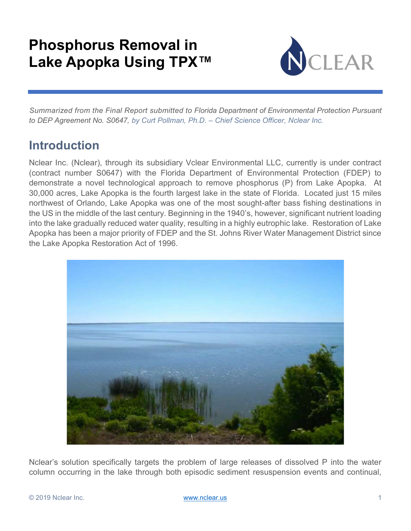# Phosphorus Removal in Lake Apopka Using TPX™



 Summarized from the Final Report submitted to Florida Department of Environmental Protection Pursuant to DEP Agreement No. S0647, by Curt Pollman, Ph.D. – Chief Science Officer, Nclear Inc.

## Introduction

Nclear Inc. (Nclear), through its subsidiary Vclear Environmental LLC, currently is under contract (contract number S0647) with the Florida Department of Environmental Protection (FDEP) to demonstrate a novel technological approach to remove phosphorus (P) from Lake Apopka. At 30,000 acres, Lake Apopka is the fourth largest lake in the state of Florida. Located just 15 miles northwest of Orlando, Lake Apopka was one of the most sought-after bass fishing destinations in the US in the middle of the last century. Beginning in the 1940's, however, significant nutrient loading into the lake gradually reduced water quality, resulting in a highly eutrophic lake. Restoration of Lake Apopka has been a major priority of FDEP and the St. Johns River Water Management District since the Lake Apopka Restoration Act of 1996.



Nclear's solution specifically targets the problem of large releases of dissolved P into the water column occurring in the lake through both episodic sediment resuspension events and continual,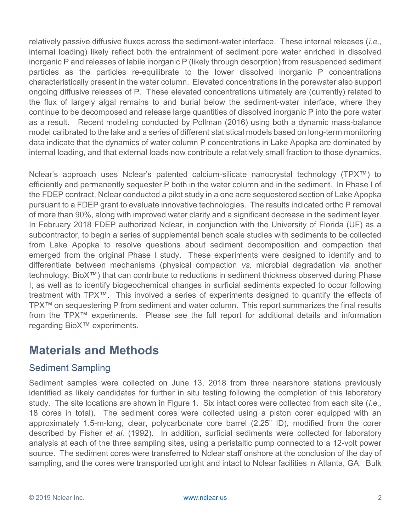relatively passive diffusive fluxes across the sediment-water interface. These internal releases (*i.e.*, internal loading) likely reflect both the entrainment of sediment pore water enriched in dissolved inorganic P and releases of labile inorganic P (likely through desorption) from resuspended sediment particles as the particles re-equilibrate to the lower dissolved inorganic P concentrations characteristically present in the water column. Elevated concentrations in the porewater also support ongoing diffusive releases of P. These elevated concentrations ultimately are (currently) related to the flux of largely algal remains to and burial below the sediment-water interface, where they continue to be decomposed and release large quantities of dissolved inorganic P into the pore water as a result. Recent modeling conducted by Pollman (2016) using both a dynamic mass-balance model calibrated to the lake and a series of different statistical models based on long-term monitoring data indicate that the dynamics of water column P concentrations in Lake Apopka are dominated by internal loading, and that external loads now contribute a relatively small fraction to those dynamics.

Nclear's approach uses Nclear's patented calcium-silicate nanocrystal technology (TPX™) to efficiently and permanently sequester P both in the water column and in the sediment. In Phase I of the FDEP contract, Nclear conducted a pilot study in a one acre sequestered section of Lake Apopka pursuant to a FDEP grant to evaluate innovative technologies. The results indicated ortho P removal of more than 90%, along with improved water clarity and a significant decrease in the sediment layer. In February 2018 FDEP authorized Nclear, in conjunction with the University of Florida (UF) as a subcontractor, to begin a series of supplemental bench scale studies with sediments to be collected from Lake Apopka to resolve questions about sediment decomposition and compaction that emerged from the original Phase I study. These experiments were designed to identify and to differentiate between mechanisms (physical compaction vs. microbial degradation via another technology, BioX™) that can contribute to reductions in sediment thickness observed during Phase I, as well as to identify biogeochemical changes in surficial sediments expected to occur following treatment with TPX™. This involved a series of experiments designed to quantify the effects of TPX™ on sequestering P from sediment and water column. This report summarizes the final results from the TPX™ experiments. Please see the full report for additional details and information regarding BioX™ experiments.

## Materials and Methods

## Sediment Sampling

Sediment samples were collected on June 13, 2018 from three nearshore stations previously identified as likely candidates for further in situ testing following the completion of this laboratory study. The site locations are shown in Figure 1. Six intact cores were collected from each site *(i.e.,* 18 cores in total). The sediment cores were collected using a piston corer equipped with an approximately 1.5-m-long, clear, polycarbonate core barrel (2.25" ID), modified from the corer described by Fisher et al. (1992). In addition, surficial sediments were collected for laboratory analysis at each of the three sampling sites, using a peristaltic pump connected to a 12-volt power source. The sediment cores were transferred to Nclear staff onshore at the conclusion of the day of sampling, and the cores were transported upright and intact to Nclear facilities in Atlanta, GA. Bulk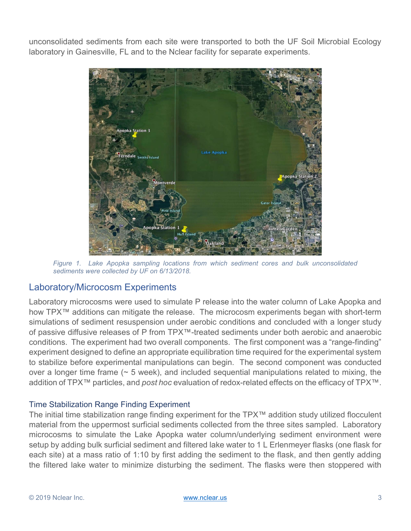unconsolidated sediments from each site were transported to both the UF Soil Microbial Ecology laboratory in Gainesville, FL and to the Nclear facility for separate experiments.



Figure 1. Lake Apopka sampling locations from which sediment cores and bulk unconsolidated sediments were collected by UF on 6/13/2018.

### Laboratory/Microcosm Experiments

Laboratory microcosms were used to simulate P release into the water column of Lake Apopka and how TPX<sup>™</sup> additions can mitigate the release. The microcosm experiments began with short-term simulations of sediment resuspension under aerobic conditions and concluded with a longer study of passive diffusive releases of P from TPX™-treated sediments under both aerobic and anaerobic conditions. The experiment had two overall components. The first component was a "range-finding" experiment designed to define an appropriate equilibration time required for the experimental system to stabilize before experimental manipulations can begin. The second component was conducted over a longer time frame (~ 5 week), and included sequential manipulations related to mixing, the addition of TPX™ particles, and post hoc evaluation of redox-related effects on the efficacy of TPX™.

#### Time Stabilization Range Finding Experiment

The initial time stabilization range finding experiment for the TPX™ addition study utilized flocculent material from the uppermost surficial sediments collected from the three sites sampled. Laboratory microcosms to simulate the Lake Apopka water column/underlying sediment environment were setup by adding bulk surficial sediment and filtered lake water to 1 L Erlenmeyer flasks (one flask for each site) at a mass ratio of 1:10 by first adding the sediment to the flask, and then gently adding the filtered lake water to minimize disturbing the sediment. The flasks were then stoppered with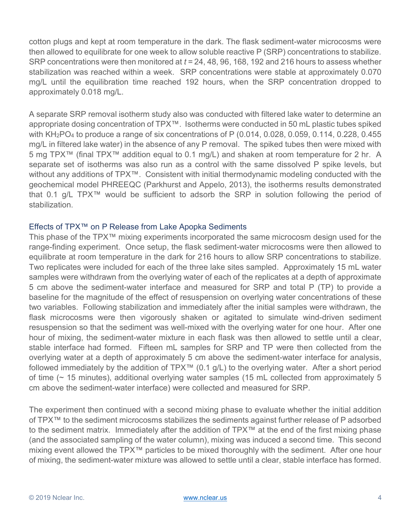cotton plugs and kept at room temperature in the dark. The flask sediment-water microcosms were then allowed to equilibrate for one week to allow soluble reactive P (SRP) concentrations to stabilize. SRP concentrations were then monitored at  $t = 24, 48, 96, 168, 192$  and 216 hours to assess whether stabilization was reached within a week. SRP concentrations were stable at approximately 0.070 mg/L until the equilibration time reached 192 hours, when the SRP concentration dropped to approximately 0.018 mg/L.

A separate SRP removal isotherm study also was conducted with filtered lake water to determine an appropriate dosing concentration of TPX™. Isotherms were conducted in 50 mL plastic tubes spiked with KH<sub>2</sub>PO<sub>4</sub> to produce a range of six concentrations of P (0.014, 0.028, 0.059, 0.114, 0.228, 0.455 mg/L in filtered lake water) in the absence of any P removal. The spiked tubes then were mixed with 5 mg TPX™ (final TPX™ addition equal to 0.1 mg/L) and shaken at room temperature for 2 hr. A separate set of isotherms was also run as a control with the same dissolved P spike levels, but without any additions of TPX<sup>™</sup>. Consistent with initial thermodynamic modeling conducted with the geochemical model PHREEQC (Parkhurst and Appelo, 2013), the isotherms results demonstrated that 0.1 g/L TPX™ would be sufficient to adsorb the SRP in solution following the period of stabilization.

#### Effects of TPX™ on P Release from Lake Apopka Sediments

This phase of the TPX™ mixing experiments incorporated the same microcosm design used for the range-finding experiment. Once setup, the flask sediment-water microcosms were then allowed to equilibrate at room temperature in the dark for 216 hours to allow SRP concentrations to stabilize. Two replicates were included for each of the three lake sites sampled. Approximately 15 mL water samples were withdrawn from the overlying water of each of the replicates at a depth of approximate 5 cm above the sediment-water interface and measured for SRP and total P (TP) to provide a baseline for the magnitude of the effect of resuspension on overlying water concentrations of these two variables. Following stabilization and immediately after the initial samples were withdrawn, the flask microcosms were then vigorously shaken or agitated to simulate wind-driven sediment resuspension so that the sediment was well-mixed with the overlying water for one hour. After one hour of mixing, the sediment-water mixture in each flask was then allowed to settle until a clear, stable interface had formed. Fifteen mL samples for SRP and TP were then collected from the overlying water at a depth of approximately 5 cm above the sediment-water interface for analysis, followed immediately by the addition of TPX™ (0.1 g/L) to the overlying water. After a short period of time (~ 15 minutes), additional overlying water samples (15 mL collected from approximately 5 cm above the sediment-water interface) were collected and measured for SRP.

The experiment then continued with a second mixing phase to evaluate whether the initial addition of TPX<sup>™</sup> to the sediment microcosms stabilizes the sediments against further release of P adsorbed to the sediment matrix. Immediately after the addition of TPX™ at the end of the first mixing phase (and the associated sampling of the water column), mixing was induced a second time. This second mixing event allowed the TPX™ particles to be mixed thoroughly with the sediment. After one hour of mixing, the sediment-water mixture was allowed to settle until a clear, stable interface has formed.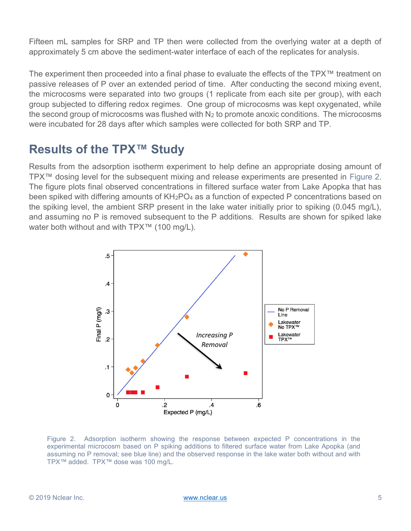Fifteen mL samples for SRP and TP then were collected from the overlying water at a depth of approximately 5 cm above the sediment-water interface of each of the replicates for analysis.

The experiment then proceeded into a final phase to evaluate the effects of the TPX™ treatment on passive releases of P over an extended period of time. After conducting the second mixing event, the microcosms were separated into two groups (1 replicate from each site per group), with each group subjected to differing redox regimes. One group of microcosms was kept oxygenated, while the second group of microcosms was flushed with  $N_2$  to promote anoxic conditions. The microcosms were incubated for 28 days after which samples were collected for both SRP and TP.

## Results of the TPX™ Study

Results from the adsorption isotherm experiment to help define an appropriate dosing amount of TPX™ dosing level for the subsequent mixing and release experiments are presented in Figure 2. The figure plots final observed concentrations in filtered surface water from Lake Apopka that has been spiked with differing amounts of KH<sub>2</sub>PO<sub>4</sub> as a function of expected P concentrations based on the spiking level, the ambient SRP present in the lake water initially prior to spiking (0.045 mg/L), and assuming no P is removed subsequent to the P additions. Results are shown for spiked lake water both without and with TPX™ (100 mg/L).



Figure 2. Adsorption isotherm showing the response between expected P concentrations in the experimental microcosm based on P spiking additions to filtered surface water from Lake Apopka (and assuming no P removal; see blue line) and the observed response in the lake water both without and with TPX™ added. TPX™ dose was 100 mg/L.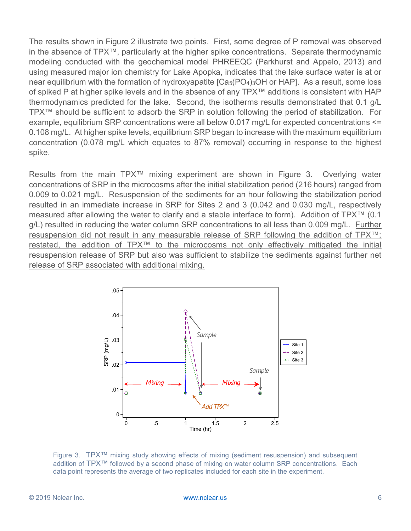The results shown in Figure 2 illustrate two points. First, some degree of P removal was observed in the absence of TPX™, particularly at the higher spike concentrations. Separate thermodynamic modeling conducted with the geochemical model PHREEQC (Parkhurst and Appelo, 2013) and using measured major ion chemistry for Lake Apopka, indicates that the lake surface water is at or near equilibrium with the formation of hydroxyapatite  $[Ca<sub>5</sub>(PO<sub>4</sub>)<sub>3</sub>OH$  or HAP]. As a result, some loss of spiked P at higher spike levels and in the absence of any TPX™ additions is consistent with HAP thermodynamics predicted for the lake. Second, the isotherms results demonstrated that 0.1 g/L TPX™ should be sufficient to adsorb the SRP in solution following the period of stabilization. For example, equilibrium SRP concentrations were all below 0.017 mg/L for expected concentrations <= 0.108 mg/L. At higher spike levels, equilibrium SRP began to increase with the maximum equilibrium concentration (0.078 mg/L which equates to 87% removal) occurring in response to the highest spike.

Results from the main TPX™ mixing experiment are shown in Figure 3. Overlying water concentrations of SRP in the microcosms after the initial stabilization period (216 hours) ranged from 0.009 to 0.021 mg/L. Resuspension of the sediments for an hour following the stabilization period resulted in an immediate increase in SRP for Sites 2 and 3 (0.042 and 0.030 mg/L, respectively measured after allowing the water to clarify and a stable interface to form). Addition of TPX™ (0.1 g/L) resulted in reducing the water column SRP concentrations to all less than 0.009 mg/L. Further resuspension did not result in any measurable release of SRP following the addition of TPX™; restated, the addition of TPX™ to the microcosms not only effectively mitigated the initial resuspension release of SRP but also was sufficient to stabilize the sediments against further net release of SRP associated with additional mixing.



Figure 3. TPX<sup>™</sup> mixing study showing effects of mixing (sediment resuspension) and subsequent addition of TPX™ followed by a second phase of mixing on water column SRP concentrations. Each data point represents the average of two replicates included for each site in the experiment.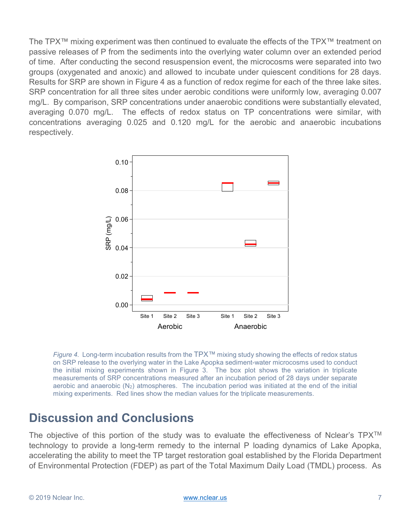The TPX™ mixing experiment was then continued to evaluate the effects of the TPX™ treatment on passive releases of P from the sediments into the overlying water column over an extended period of time. After conducting the second resuspension event, the microcosms were separated into two groups (oxygenated and anoxic) and allowed to incubate under quiescent conditions for 28 days. Results for SRP are shown in Figure 4 as a function of redox regime for each of the three lake sites. SRP concentration for all three sites under aerobic conditions were uniformly low, averaging 0.007 mg/L. By comparison, SRP concentrations under anaerobic conditions were substantially elevated, averaging 0.070 mg/L. The effects of redox status on TP concentrations were similar, with concentrations averaging 0.025 and 0.120 mg/L for the aerobic and anaerobic incubations respectively.



Figure 4. Long-term incubation results from the  $TPX^{TM}$  mixing study showing the effects of redox status on SRP release to the overlying water in the Lake Apopka sediment-water microcosms used to conduct the initial mixing experiments shown in Figure 3. The box plot shows the variation in triplicate measurements of SRP concentrations measured after an incubation period of 28 days under separate aerobic and anaerobic  $(N_2)$  atmospheres. The incubation period was initiated at the end of the initial mixing experiments. Red lines show the median values for the triplicate measurements.

## Discussion and Conclusions

The objective of this portion of the study was to evaluate the effectiveness of Nclear's  $TPX^{TM}$ technology to provide a long-term remedy to the internal P loading dynamics of Lake Apopka, accelerating the ability to meet the TP target restoration goal established by the Florida Department of Environmental Protection (FDEP) as part of the Total Maximum Daily Load (TMDL) process. As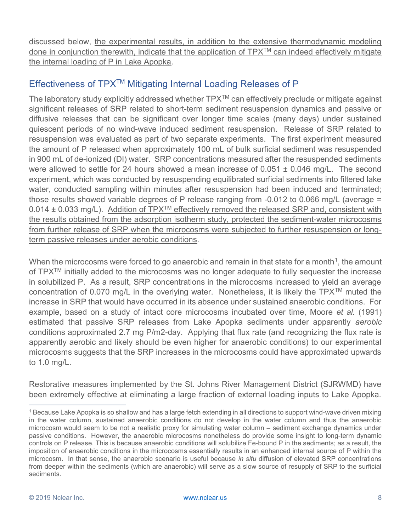discussed below, the experimental results, in addition to the extensive thermodynamic modeling done in conjunction therewith, indicate that the application of TPX™ can indeed effectively mitigate the internal loading of P in Lake Apopka.

## Effectiveness of TPXTM Mitigating Internal Loading Releases of P

The laboratory study explicitly addressed whether  $TPX^{TM}$  can effectively preclude or mitigate against significant releases of SRP related to short-term sediment resuspension dynamics and passive or diffusive releases that can be significant over longer time scales (many days) under sustained quiescent periods of no wind-wave induced sediment resuspension. Release of SRP related to resuspension was evaluated as part of two separate experiments. The first experiment measured the amount of P released when approximately 100 mL of bulk surficial sediment was resuspended in 900 mL of de-ionized (DI) water. SRP concentrations measured after the resuspended sediments were allowed to settle for 24 hours showed a mean increase of  $0.051 \pm 0.046$  mg/L. The second experiment, which was conducted by resuspending equilibrated surficial sediments into filtered lake water, conducted sampling within minutes after resuspension had been induced and terminated; those results showed variable degrees of P release ranging from -0.012 to 0.066 mg/L (average =  $0.014 \pm 0.033$  mg/L). Addition of TPX<sup>TM</sup> effectively removed the released SRP and, consistent with the results obtained from the adsorption isotherm study, protected the sediment-water microcosms from further release of SRP when the microcosms were subjected to further resuspension or longterm passive releases under aerobic conditions.

When the microcosms were forced to go anaerobic and remain in that state for a month<sup>1</sup>, the amount of  $TPX^{TM}$  initially added to the microcosms was no longer adequate to fully sequester the increase in solubilized P. As a result, SRP concentrations in the microcosms increased to yield an average concentration of 0.070 mg/L in the overlying water. Nonetheless, it is likely the TPXTM muted the increase in SRP that would have occurred in its absence under sustained anaerobic conditions. For example, based on a study of intact core microcosms incubated over time, Moore et al. (1991) estimated that passive SRP releases from Lake Apopka sediments under apparently aerobic conditions approximated 2.7 mg P/m2-day. Applying that flux rate (and recognizing the flux rate is apparently aerobic and likely should be even higher for anaerobic conditions) to our experimental microcosms suggests that the SRP increases in the microcosms could have approximated upwards to 1.0 mg/L.

Restorative measures implemented by the St. Johns River Management District (SJRWMD) have been extremely effective at eliminating a large fraction of external loading inputs to Lake Apopka.

 $\overline{a}$ 

<sup>1</sup> Because Lake Apopka is so shallow and has a large fetch extending in all directions to support wind-wave driven mixing in the water column, sustained anaerobic conditions do not develop in the water column and thus the anaerobic microcosm would seem to be not a realistic proxy for simulating water column – sediment exchange dynamics under passive conditions. However, the anaerobic microcosms nonetheless do provide some insight to long-term dynamic controls on P release. This is because anaerobic conditions will solubilize Fe-bound P in the sediments; as a result, the imposition of anaerobic conditions in the microcosms essentially results in an enhanced internal source of P within the microcosm. In that sense, the anaerobic scenario is useful because in situ diffusion of elevated SRP concentrations from deeper within the sediments (which are anaerobic) will serve as a slow source of resupply of SRP to the surficial sediments.